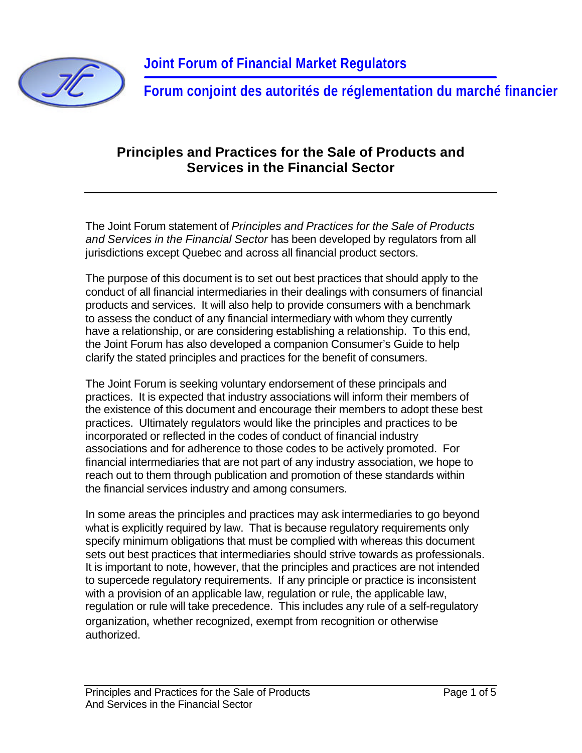

**Forum conjoint des autorités de réglementation du marché financier**

#### **Principles and Practices for the Sale of Products and Services in the Financial Sector**

The Joint Forum statement of *Principles and Practices for the Sale of Products and Services in the Financial Sector* has been developed by regulators from all jurisdictions except Quebec and across all financial product sectors.

The purpose of this document is to set out best practices that should apply to the conduct of all financial intermediaries in their dealings with consumers of financial products and services. It will also help to provide consumers with a benchmark to assess the conduct of any financial intermediary with whom they currently have a relationship, or are considering establishing a relationship. To this end, the Joint Forum has also developed a companion Consumer's Guide to help clarify the stated principles and practices for the benefit of consumers.

The Joint Forum is seeking voluntary endorsement of these principals and practices. It is expected that industry associations will inform their members of the existence of this document and encourage their members to adopt these best practices. Ultimately regulators would like the principles and practices to be incorporated or reflected in the codes of conduct of financial industry associations and for adherence to those codes to be actively promoted. For financial intermediaries that are not part of any industry association, we hope to reach out to them through publication and promotion of these standards within the financial services industry and among consumers.

In some areas the principles and practices may ask intermediaries to go beyond what is explicitly required by law. That is because regulatory requirements only specify minimum obligations that must be complied with whereas this document sets out best practices that intermediaries should strive towards as professionals. It is important to note, however, that the principles and practices are not intended to supercede regulatory requirements. If any principle or practice is inconsistent with a provision of an applicable law, regulation or rule, the applicable law, regulation or rule will take precedence. This includes any rule of a self-regulatory organization, whether recognized, exempt from recognition or otherwise authorized.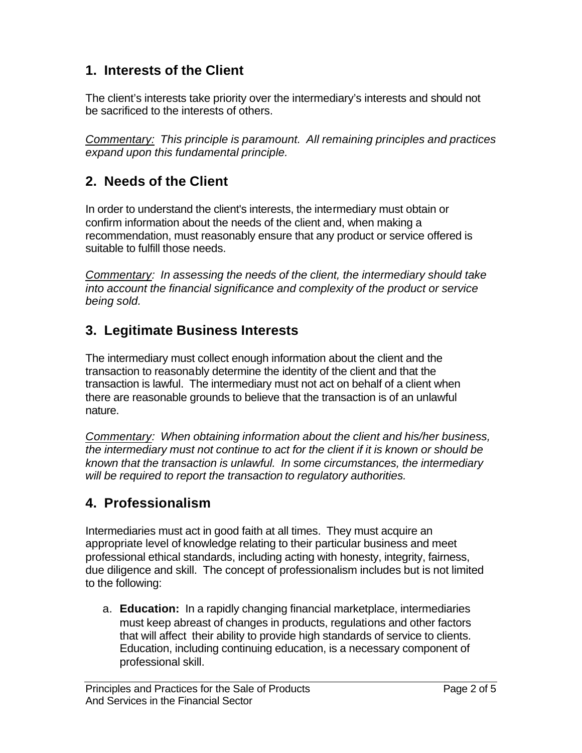## **1. Interests of the Client**

The client's interests take priority over the intermediary's interests and should not be sacrificed to the interests of others.

*Commentary: This principle is paramount. All remaining principles and practices expand upon this fundamental principle.* 

### **2. Needs of the Client**

In order to understand the client's interests, the intermediary must obtain or confirm information about the needs of the client and, when making a recommendation, must reasonably ensure that any product or service offered is suitable to fulfill those needs.

*Commentary: In assessing the needs of the client, the intermediary should take into account the financial significance and complexity of the product or service being sold.* 

### **3. Legitimate Business Interests**

The intermediary must collect enough information about the client and the transaction to reasonably determine the identity of the client and that the transaction is lawful. The intermediary must not act on behalf of a client when there are reasonable grounds to believe that the transaction is of an unlawful nature.

*Commentary: When obtaining information about the client and his/her business, the intermediary must not continue to act for the client if it is known or should be known that the transaction is unlawful. In some circumstances, the intermediary will be required to report the transaction to regulatory authorities.* 

## **4. Professionalism**

Intermediaries must act in good faith at all times. They must acquire an appropriate level of knowledge relating to their particular business and meet professional ethical standards, including acting with honesty, integrity, fairness, due diligence and skill. The concept of professionalism includes but is not limited to the following:

a. **Education:** In a rapidly changing financial marketplace, intermediaries must keep abreast of changes in products, regulations and other factors that will affect their ability to provide high standards of service to clients. Education, including continuing education, is a necessary component of professional skill.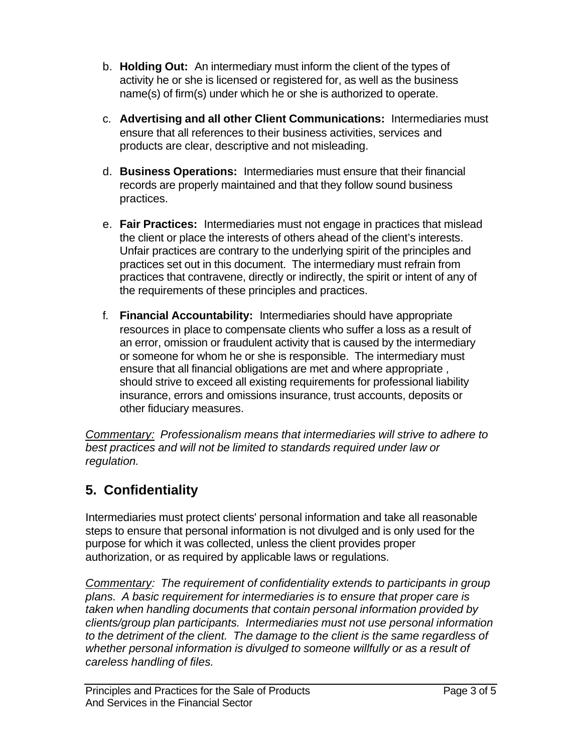- b. **Holding Out:** An intermediary must inform the client of the types of activity he or she is licensed or registered for, as well as the business name(s) of firm(s) under which he or she is authorized to operate.
- c. **Advertising and all other Client Communications:** Intermediaries must ensure that all references to their business activities, services and products are clear, descriptive and not misleading.
- d. **Business Operations:** Intermediaries must ensure that their financial records are properly maintained and that they follow sound business practices.
- e. **Fair Practices:** Intermediaries must not engage in practices that mislead the client or place the interests of others ahead of the client's interests. Unfair practices are contrary to the underlying spirit of the principles and practices set out in this document. The intermediary must refrain from practices that contravene, directly or indirectly, the spirit or intent of any of the requirements of these principles and practices.
- f. **Financial Accountability:** Intermediaries should have appropriate resources in place to compensate clients who suffer a loss as a result of an error, omission or fraudulent activity that is caused by the intermediary or someone for whom he or she is responsible. The intermediary must ensure that all financial obligations are met and where appropriate , should strive to exceed all existing requirements for professional liability insurance, errors and omissions insurance, trust accounts, deposits or other fiduciary measures.

*Commentary: Professionalism means that intermediaries will strive to adhere to best practices and will not be limited to standards required under law or regulation.* 

# **5. Confidentiality**

Intermediaries must protect clients' personal information and take all reasonable steps to ensure that personal information is not divulged and is only used for the purpose for which it was collected, unless the client provides proper authorization, or as required by applicable laws or regulations.

*Commentary: The requirement of confidentiality extends to participants in group plans. A basic requirement for intermediaries is to ensure that proper care is taken when handling documents that contain personal information provided by clients/group plan participants. Intermediaries must not use personal information to the detriment of the client. The damage to the client is the same regardless of whether personal information is divulged to someone willfully or as a result of careless handling of files.*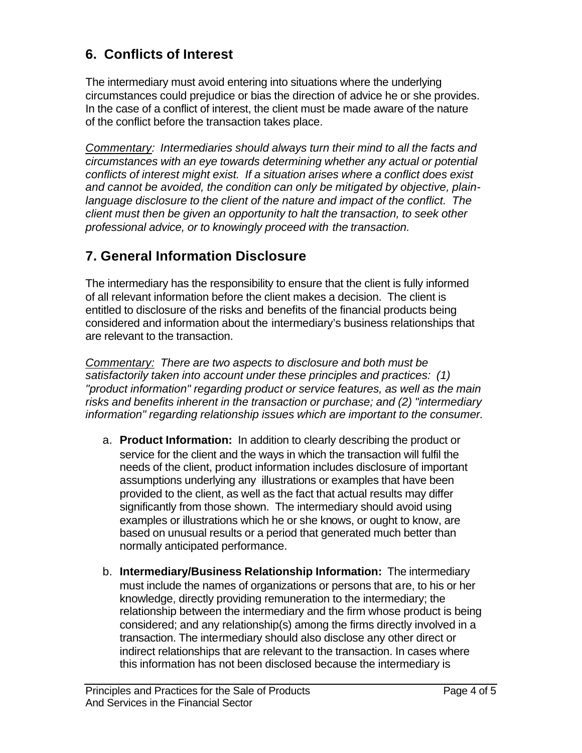## **6. Conflicts of Interest**

The intermediary must avoid entering into situations where the underlying circumstances could prejudice or bias the direction of advice he or she provides. In the case of a conflict of interest, the client must be made aware of the nature of the conflict before the transaction takes place.

*Commentary: Intermediaries should always turn their mind to all the facts and circumstances with an eye towards determining whether any actual or potential conflicts of interest might exist. If a situation arises where a conflict does exist and cannot be avoided, the condition can only be mitigated by objective, plainlanguage disclosure to the client of the nature and impact of the conflict. The client must then be given an opportunity to halt the transaction, to seek other professional advice, or to knowingly proceed with the transaction.*

## **7. General Information Disclosure**

The intermediary has the responsibility to ensure that the client is fully informed of all relevant information before the client makes a decision. The client is entitled to disclosure of the risks and benefits of the financial products being considered and information about the intermediary's business relationships that are relevant to the transaction.

*Commentary: There are two aspects to disclosure and both must be satisfactorily taken into account under these principles and practices: (1) "product information" regarding product or service features, as well as the main risks and benefits inherent in the transaction or purchase; and (2) "intermediary information" regarding relationship issues which are important to the consumer.*

- a. **Product Information:** In addition to clearly describing the product or service for the client and the ways in which the transaction will fulfil the needs of the client, product information includes disclosure of important assumptions underlying any illustrations or examples that have been provided to the client, as well as the fact that actual results may differ significantly from those shown. The intermediary should avoid using examples or illustrations which he or she knows, or ought to know, are based on unusual results or a period that generated much better than normally anticipated performance.
- b. **Intermediary/Business Relationship Information:** The intermediary must include the names of organizations or persons that are, to his or her knowledge, directly providing remuneration to the intermediary; the relationship between the intermediary and the firm whose product is being considered; and any relationship(s) among the firms directly involved in a transaction. The intermediary should also disclose any other direct or indirect relationships that are relevant to the transaction. In cases where this information has not been disclosed because the intermediary is